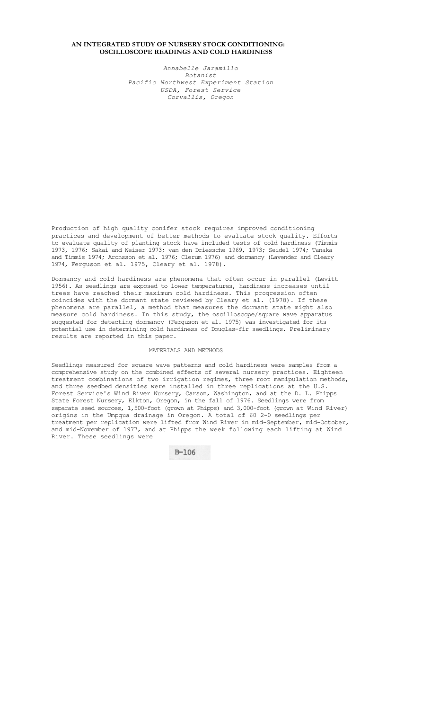# **AN INTEGRATED STUDY OF NURSERY STOCK CONDITIONING: OSCILLOSCOPE READINGS AND COLD HARDINESS**

*Annabelle Jaramillo Botanist Pacific Northwest Experiment Station USDA, Forest Service Corvallis, Oregon* 

Production of high quality conifer stock requires improved conditioning practices and development of better methods to evaluate stock quality. Efforts to evaluate quality of planting stock have included tests of cold hardiness (Timmis 1973, 1976; Sakai and Weiser 1973; van den Driessche 1969, 1973; Seidel 1974; Tanaka and Timmis 1974; Aronsson et al. 1976; Clerum 1976) and dormancy (Lavender and Cleary 1974, Ferguson et al. 1975, Cleary et al. 1978).

Dormancy and cold hardiness are phenomena that often occur in parallel (Levitt 1956). As seedlings are exposed to lower temperatures, hardiness increases until trees have reached their maximum cold hardiness. This progression often coincides with the dormant state reviewed by Cleary et al. (1978). If these phenomena are parallel, a method that measures the dormant state might also measure cold hardiness. In this study, the oscilloscope/square wave apparatus suggested for detecting dormancy (Ferguson et al. 1975) was investigated for its potential use in determining cold hardiness of Douglas-fir seedlings. Preliminary results are reported in this paper.

## MATERIALS AND METHODS

Seedlings measured for square wave patterns and cold hardiness were samples from a comprehensive study on the combined effects of several nursery practices. Eighteen treatment combinations of two irrigation regimes, three root manipulation methods, and three seedbed densities were installed in three replications at the U.S. Forest Service's Wind River Nursery, Carson, Washington, and at the D. L. Phipps State Forest Nursery, Elkton, Oregon, in the fall of 1976. Seedlings were from separate seed sources, 1,500-foot (grown at Phipps) and 3,000-foot (grown at Wind River) origins in the Umpqua drainage in Oregon. A total of 60 2-0 seedlings per treatment per replication were lifted from Wind River in mid-September, mid-October, and mid-November of 1977, and at Phipps the week following each lifting at Wind River. These seedlings were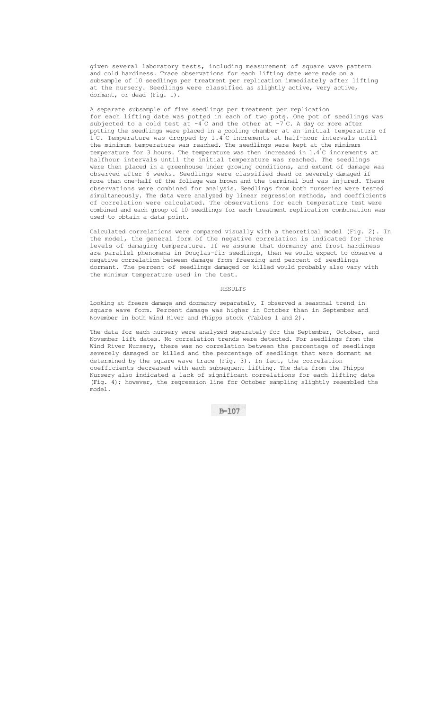given several laboratory tests, including measurement of square wave pattern and cold hardiness. Trace observations for each lifting date were made on a subsample of 10 seedlings per treatment per replication immediately after lifting at the nursery. Seedlings were classified as slightly active, very active, dormant, or dead (Fig. 1).

A separate subsample of five seedlings per treatment per replication for each lifting date was potted in each of two pots. One pot of seedlings was subjected to a cold test at  $-4^{\degree}$ C and the other at  $-7^{\degree}$ C. A day or more after potting the seedlings were placed in a cooling chamber at an initial temperature of 1° C. Temperature was dropped by 1.4° C increments at half-hour intervals until the minimum temperature was reached. The seedlings were kept at the minimum temperature for 3 hours. The temperature was then increased in 1.4° C increments at halfhour intervals until the initial temperature was reached. The seedlings were then placed in a greenhouse under growing conditions, and extent of damage was observed after 6 weeks. Seedlings were classified dead or severely damaged if more than one-half of the foliage was brown and the terminal bud was injured. These observations were combined for analysis. Seedlings from both nurseries were tested simultaneously. The data were analyzed by linear regression methods, and coefficients of correlation were calculated. The observations for each temperature test were combined and each group of 10 seedlings for each treatment replication combination was used to obtain a data point.

Calculated correlations were compared visually with a theoretical model (Fig. 2). In the model, the general form of the negative correlation is indicated for three levels of damaging temperature. If we assume that dormancy and frost hardiness are parallel phenomena in Douglas-fir seedlings, then we would expect to observe a negative correlation between damage from freezing and percent of seedlings dormant. The percent of seedlings damaged or killed would probably also vary with the minimum temperature used in the test.

### RESULTS

Looking at freeze damage and dormancy separately, I observed a seasonal trend in square wave form. Percent damage was higher in October than in September and November in both Wind River and Phipps stock (Tables 1 and 2).

The data for each nursery were analyzed separately for the September, October, and November lift dates. No correlation trends were detected. For seedlings from the Wind River Nursery, there was no correlation between the percentage of seedlings severely damaged or killed and the percentage of seedlings that were dormant as determined by the square wave trace (Fig. 3). In fact, the correlation coefficients decreased with each subsequent lifting. The data from the Phipps Nursery also indicated a lack of significant correlations for each lifting date (Fig. 4); however, the regression line for October sampling slightly resembled the model.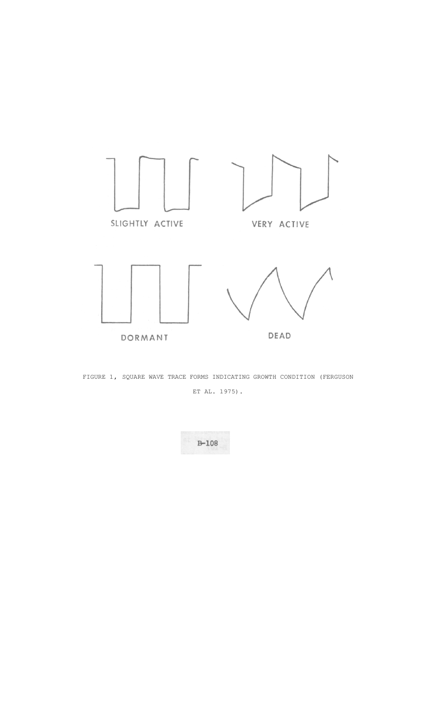



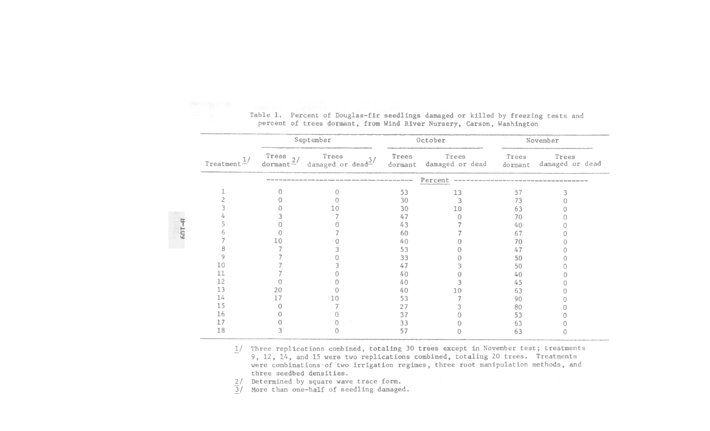|                  |                   | September                       |       | October                          | November         |                          |  |
|------------------|-------------------|---------------------------------|-------|----------------------------------|------------------|--------------------------|--|
| $T$ reatment $-$ | Trees $\frac{2}{$ | Trees<br>3/<br>damaged or dead- | Trees | Trees<br>dormant damaged or dead | Trees<br>dormant | Trees<br>damaged or dead |  |
|                  |                   |                                 |       | Percent                          |                  |                          |  |
|                  |                   |                                 | 53    | 13                               | 57               |                          |  |
|                  |                   |                                 | 30    |                                  | 73               |                          |  |
|                  |                   |                                 | 30    | 10                               | 63               |                          |  |
|                  |                   |                                 | 47    |                                  | 70               |                          |  |
|                  |                   |                                 | 43    |                                  | 40               |                          |  |
|                  |                   |                                 | 60    |                                  | 67               |                          |  |
|                  |                   |                                 | 40    |                                  | 70               |                          |  |
|                  |                   |                                 | 53    |                                  | 47               |                          |  |
|                  |                   |                                 | 33    |                                  | 50               |                          |  |
|                  |                   |                                 | 47    |                                  | 50               |                          |  |
|                  |                   |                                 | 40    |                                  | 40               |                          |  |
|                  |                   |                                 | 40    |                                  | 45               |                          |  |
|                  | 20                |                                 | 40    |                                  | 63               |                          |  |
| 14               |                   |                                 | 53    |                                  | 90               |                          |  |
| -5               |                   |                                 | 27    |                                  | 80               |                          |  |
| 16               |                   |                                 | 37    |                                  | 53               |                          |  |
|                  |                   |                                 | 33    |                                  | 63               |                          |  |
| 18               |                   |                                 | 57    |                                  | 63               |                          |  |

Table 1. Percent of Douglas-fir seedlings damaged or killed by freezing tests and percent of trees dormant, from Wind River Nursery, Carson, Washington

1/ Three replications combined, totaling 30 trees except in November test; treatments 9, 12, 14, and 15 were two replications combined, totaling 20 trees. Treatments were combinations of two irrigation regimes, three root manipulation methods, and three seedbed densities.

Determined by square wave trace form.  $2/$ 

 $601 - 4$ 

 $\overline{3}/$ More than one-half of seedling damaged.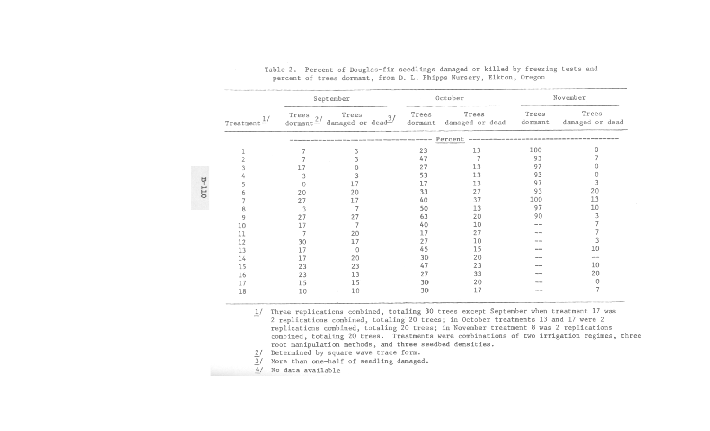| Treatment |       | September                                                                             |       | October                                                                                                               | November                                                                                       |                          |  |
|-----------|-------|---------------------------------------------------------------------------------------|-------|-----------------------------------------------------------------------------------------------------------------------|------------------------------------------------------------------------------------------------|--------------------------|--|
|           | Trees | Trees<br>Trees $\frac{2}{3}$ damaged or dead <sup>3</sup>                             | Trees | Trees<br>dormant damaged or dead                                                                                      | Trees<br>dormant                                                                               | Trees<br>damaged or dead |  |
|           |       | the country the size streets through the size foreign disease mining whether this can |       | Percent<br>While show with state ages with them and are state and the reside and the state with them state state mean |                                                                                                |                          |  |
|           |       | 3                                                                                     | 23    | 13                                                                                                                    | 100                                                                                            |                          |  |
|           |       |                                                                                       | 47    |                                                                                                                       | 93                                                                                             |                          |  |
|           | 17    |                                                                                       | 27    | 13                                                                                                                    | 97                                                                                             |                          |  |
|           | 3     |                                                                                       | 53    | 13                                                                                                                    | 93                                                                                             |                          |  |
|           |       | 17                                                                                    | 17    | 13                                                                                                                    | 97                                                                                             | 3                        |  |
|           | 20    | 20                                                                                    | 33    | 27                                                                                                                    | 93                                                                                             | 20                       |  |
|           | 27    | 17                                                                                    | 40    | 37                                                                                                                    | 100                                                                                            | 13                       |  |
| 8         | 3     |                                                                                       | 50    | 13                                                                                                                    | 97                                                                                             | 10                       |  |
| 9         | 27    | 27                                                                                    | 63    | 20                                                                                                                    | 90                                                                                             | 3                        |  |
| 10        | 17    |                                                                                       | 40    | 10                                                                                                                    | --                                                                                             |                          |  |
| 11        | 7     | 20                                                                                    | 17    | 27                                                                                                                    | $\frac{1}{2} \left( \frac{1}{2} \right) \left( \frac{1}{2} \right) \left( \frac{1}{2} \right)$ |                          |  |
| 12        | 30    | 17                                                                                    | 27    | 10                                                                                                                    | --                                                                                             | 3                        |  |
| 13        | 17    | $\Omega$                                                                              | 45    | 15                                                                                                                    | --                                                                                             | 10                       |  |
| 14        | 17    | 20                                                                                    | 30    | 20                                                                                                                    | ---                                                                                            | --                       |  |
| 15        | 23    | 23                                                                                    | 47    | 23                                                                                                                    | --                                                                                             | 10                       |  |
| 16        | 23    | 13                                                                                    | 27    | 33                                                                                                                    | --                                                                                             | 20                       |  |
| 17        | 15    | 15                                                                                    | 30    | 20                                                                                                                    |                                                                                                | 0                        |  |
| 18        | 10    | 10                                                                                    | 30    | 17                                                                                                                    | --                                                                                             | $\overline{7}$           |  |

| Table 2. Percent of Douglas-fir seedlings damaged or killed by freezing tests and |                                                                     |  |  |  |  |
|-----------------------------------------------------------------------------------|---------------------------------------------------------------------|--|--|--|--|
|                                                                                   | percent of trees dormant, from D. L. Phipps Nursery, Elkton, Oregon |  |  |  |  |

1/ Three replications combined, totaling 30 trees except September when treatment 17 was 2 replications combined, totaling 20 trees; in October treatments 13 and 17 were 2 replications combined, totaling 20 trees; in November treatment 8 was 2 replications combined, totaling 20 trees. Treatments were combinations of two irrigation regimes, three root manipulation methods, and three seedbed densities.

- $2/$  Determined by square wave trace form.
- $\overline{3}$ / More than one-half of seedling damaged.
- 4/ No data available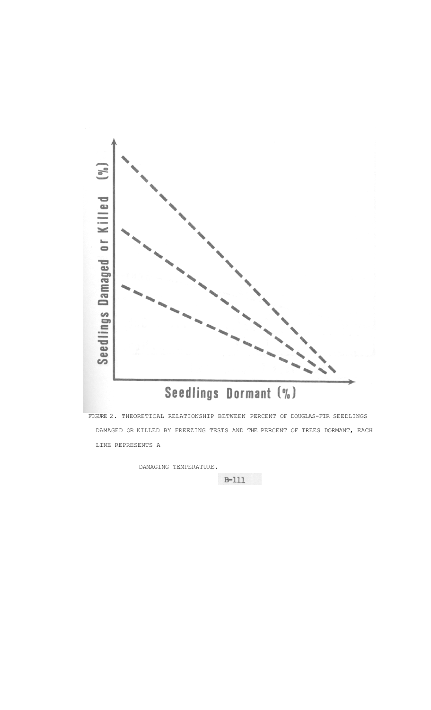

 FIGURE 2. THEORETICAL RELATIONSHIP BETWEEN PERCENT OF DOUGLAS-FIR SEEDLINGS DAMAGED OR KILLED BY FREEZING TESTS AND THE PERCENT OF TREES DORMANT, EACH LINE REPRESENTS A

DAMAGING TEMPERATURE.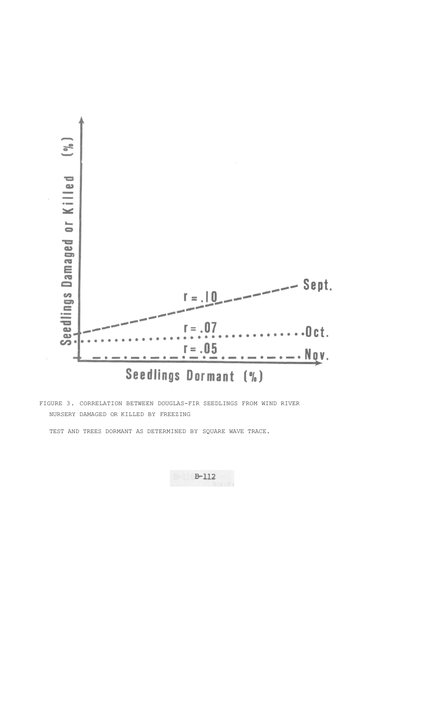

FIGURE 3. CORRELATION BETWEEN DOUGLAS-FIR SEEDLINGS FROM WIND RIVER NURSERY DAMAGED OR KILLED BY FREEZING

TEST AND TREES DORMANT AS DETERMINED BY SQUARE WAVE TRACE.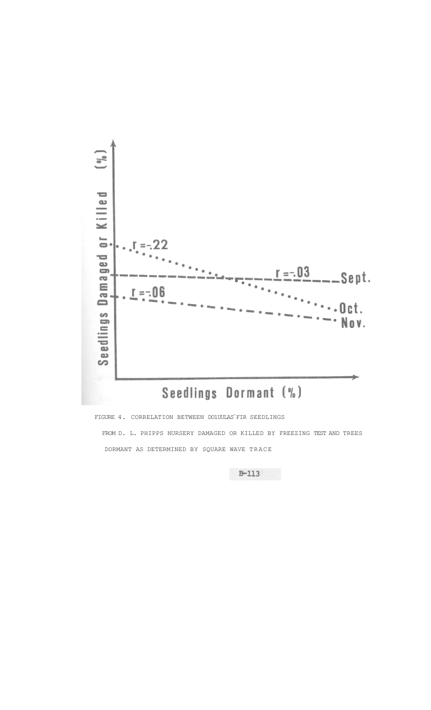

FIGURE 4. CORRELATION BETWEEN DO1UULAS FIR SEEDLINGS FROM D. L. PHIPPS NURSERY DAMAGED OR KILLED BY FREEZING TEST AND TREES DORMANT AS DETERMINED BY SQUARE WAVE TRACE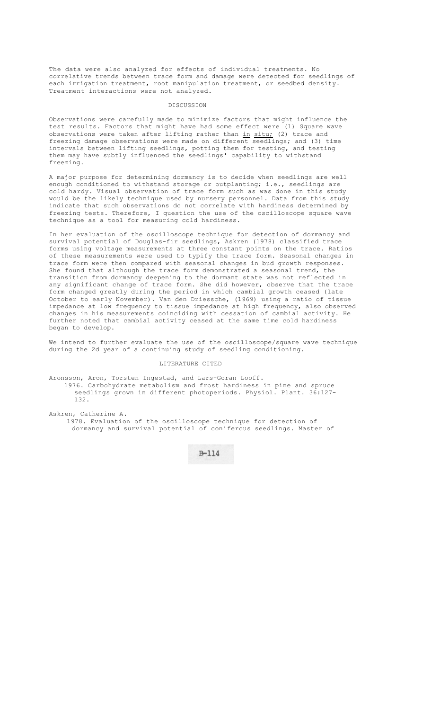The data were also analyzed for effects of individual treatments. No correlative trends between trace form and damage were detected for seedlings of each irrigation treatment, root manipulation treatment, or seedbed density. Treatment interactions were not analyzed.

#### **DISCUSSION**

Observations were carefully made to minimize factors that might influence the test results. Factors that might have had some effect were (1) Square wave observations were taken after lifting rather than  $\underline{\text{in}}$  situ; (2) trace and freezing damage observations were made on different seedlings; and (3) time intervals between lifting seedlings, potting them for testing, and testing them may have subtly influenced the seedlings' capability to withstand freezing.

A major purpose for determining dormancy is to decide when seedlings are well enough conditioned to withstand storage or outplanting; i.e., seedlings are cold hardy. Visual observation of trace form such as was done in this study would be the likely technique used by nursery personnel. Data from this study indicate that such observations do not correlate with hardiness determined by freezing tests. Therefore, I question the use of the oscilloscope square wave technique as a tool for measuring cold hardiness.

In her evaluation of the oscilloscope technique for detection of dormancy and survival potential of Douglas-fir seedlings, Askren (1978) classified trace forms using voltage measurements at three constant points on the trace. Ratios of these measurements were used to typify the trace form. Seasonal changes in trace form were then compared with seasonal changes in bud growth responses. She found that although the trace form demonstrated a seasonal trend, the transition from dormancy deepening to the dormant state was not reflected in any significant change of trace form. She did however, observe that the trace form changed greatly during the period in which cambial growth ceased (late October to early November). Van den Driessche, (1969) using a ratio of tissue impedance at low frequency to tissue impedance at high frequency, also observed changes in his measurements coinciding with cessation of cambial activity. He further noted that cambial activity ceased at the same time cold hardiness began to develop.

We intend to further evaluate the use of the oscilloscope/square wave technique during the 2d year of a continuing study of seedling conditioning.

## LITERATURE CITED

Aronsson, Aron, Torsten Ingestad, and Lars-Goran Looff. 1976. Carbohydrate metabolism and frost hardiness in pine and spruce seedlings grown in different photoperiods. Physiol. Plant. 36:127- 132.

Askren, Catherine A. 1978. Evaluation of the oscilloscope technique for detection of dormancy and survival potential of coniferous seedlings. Master of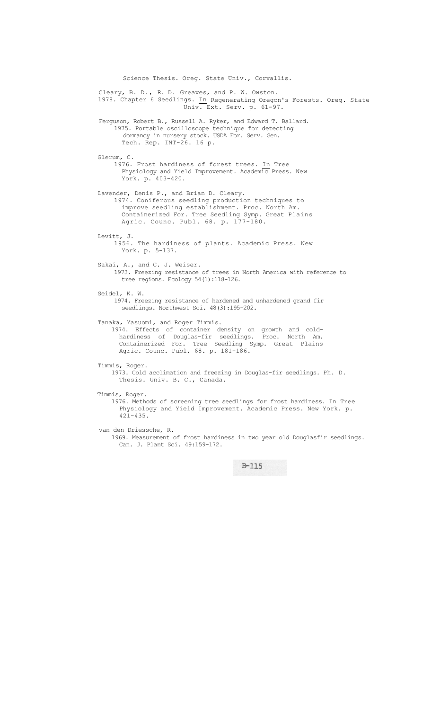Science Thesis. Oreg. State Univ., Corvallis. Cleary, B. D., R. D. Greaves, and P. W. Owston. 1978. Chapter 6 Seedlings. In Regenerating Oregon's Forests. Oreg. State Univ. Ext. Serv. p. 61-97. Ferguson, Robert B., Russell A. Ryker, and Edward T. Ballard. 1975. Portable oscilloscope technique for detecting dormancy in nursery stock. USDA For. Serv. Gen. Tech. Rep. INT-26. 16 p. Glerum, C. 1976. Frost hardiness of forest trees. In Tree Physiology and Yield Improvement. Academic Press. New York. p. 403-420. Lavender, Denis P., and Brian D. Cleary. 1974. Coniferous seedling production techniques to improve seedling establishment. Proc. North Am. Containerized For. Tree Seedling Symp. Great Plains Agric. Counc. Publ. 68. p. 177-180. Levitt, J. 1956. The hardiness of plants. Academic Press. New York. p. 5-137. Sakai, A., and C. J. Weiser. 1973. Freezing resistance of trees in North America with reference to tree regions. Ecology 54(1):118-126. Seidel, K. W. 1974. Freezing resistance of hardened and unhardened grand fir seedlings. Northwest Sci. 48(3):195-202. Tanaka, Yasuomi, and Roger Timmis. 1974. Effects of container density on growth and coldhardiness of Douglas-fir seedlings. Proc. North Am. Containerized For. Tree Seedling Symp. Great Plains Agric. Counc. Publ. 68. p. 181-186. Timmis, Roger. 1973. Cold acclimation and freezing in Douglas-fir seedlings. Ph. D. Thesis. Univ. B. C., Canada. Timmis, Roger. 1976. Methods of screening tree seedlings for frost hardiness. In Tree Physiology and Yield Improvement. Academic Press. New York. p. 421-435. van den Driessche, R. 1969. Measurement of frost hardiness in two year old Douglasfir seedlings. Can. J. Plant Sci. 49:159-172.